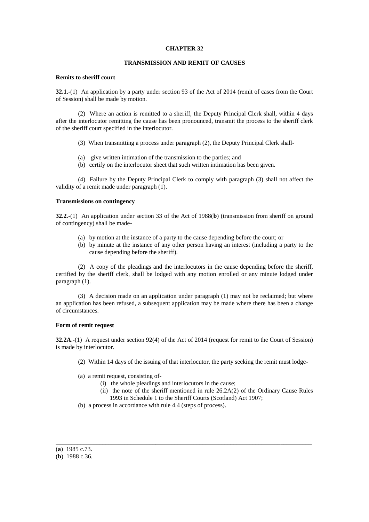### **CHAPTER 32**

# **TRANSMISSION AND REMIT OF CAUSES**

### **Remits to sheriff court**

**32.1**.-(1) An application by a party under section 93 of the Act of 2014 (remit of cases from the Court of Session) shall be made by motion.

(2) Where an action is remitted to a sheriff, the Deputy Principal Clerk shall, within 4 days after the interlocutor remitting the cause has been pronounced, transmit the process to the sheriff clerk of the sheriff court specified in the interlocutor.

- (3) When transmitting a process under paragraph (2), the Deputy Principal Clerk shall-
- (a) give written intimation of the transmission to the parties; and
- (b) certify on the interlocutor sheet that such written intimation has been given.

(4) Failure by the Deputy Principal Clerk to comply with paragraph (3) shall not affect the validity of a remit made under paragraph (1).

## **Transmissions on contingency**

**32.2**.-(1) An application under section 33 of the Act of 1988(**b**) (transmission from sheriff on ground of contingency) shall be made-

- (a) by motion at the instance of a party to the cause depending before the court; or
- (b) by minute at the instance of any other person having an interest (including a party to the cause depending before the sheriff).

(2) A copy of the pleadings and the interlocutors in the cause depending before the sheriff, certified by the sheriff clerk, shall be lodged with any motion enrolled or any minute lodged under paragraph (1).

(3) A decision made on an application under paragraph (1) may not be reclaimed; but where an application has been refused, a subsequent application may be made where there has been a change of circumstances.

#### **Form of remit request**

**32.2A**.-(1) A request under section 92(4) of the Act of 2014 (request for remit to the Court of Session) is made by interlocutor.

\_\_\_\_\_\_\_\_\_\_\_\_\_\_\_\_\_\_\_\_\_\_\_\_\_\_\_\_\_\_\_\_\_\_\_\_\_\_\_\_\_\_\_\_\_\_\_\_\_\_\_\_\_\_\_\_\_\_\_\_\_\_\_\_\_\_\_\_\_\_\_\_\_\_\_\_\_\_\_\_\_\_

- (2) Within 14 days of the issuing of that interlocutor, the party seeking the remit must lodge-
- (a) a remit request, consisting of-
	- (i) the whole pleadings and interlocutors in the cause;
	- (ii) the note of the sheriff mentioned in rule 26.2A(2) of the Ordinary Cause Rules 1993 in Schedule 1 to the Sheriff Courts (Scotland) Act 1907;
- (b) a process in accordance with rule 4.4 (steps of process).

<sup>(</sup>**a**) 1985 c.73.

<sup>(</sup>**b**) 1988 c.36.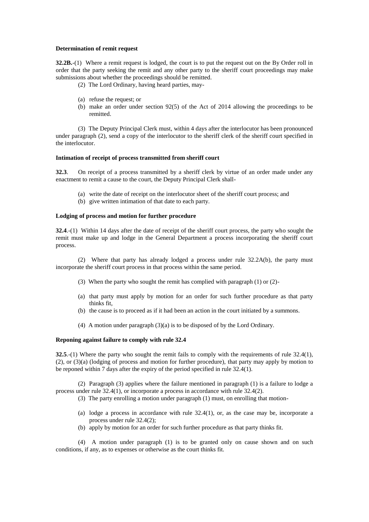### **Determination of remit request**

**32.2B.**-(1) Where a remit request is lodged, the court is to put the request out on the By Order roll in order that the party seeking the remit and any other party to the sheriff court proceedings may make submissions about whether the proceedings should be remitted.

- (2) The Lord Ordinary, having heard parties, may-
- (a) refuse the request; or
- (b) make an order under section 92(5) of the Act of 2014 allowing the proceedings to be remitted.

(3) The Deputy Principal Clerk must, within 4 days after the interlocutor has been pronounced under paragraph (2), send a copy of the interlocutor to the sheriff clerk of the sheriff court specified in the interlocutor.

#### **Intimation of receipt of process transmitted from sheriff court**

**32.3**. On receipt of a process transmitted by a sheriff clerk by virtue of an order made under any enactment to remit a cause to the court, the Deputy Principal Clerk shall-

- (a) write the date of receipt on the interlocutor sheet of the sheriff court process; and
- (b) give written intimation of that date to each party.

## **Lodging of process and motion for further procedure**

**32.4**.-(1) Within 14 days after the date of receipt of the sheriff court process, the party who sought the remit must make up and lodge in the General Department a process incorporating the sheriff court process.

(2) Where that party has already lodged a process under rule 32.2A(b), the party must incorporate the sheriff court process in that process within the same period.

- (3) When the party who sought the remit has complied with paragraph (1) or (2)-
- (a) that party must apply by motion for an order for such further procedure as that party thinks fit,
- (b) the cause is to proceed as if it had been an action in the court initiated by a summons.
- (4) A motion under paragraph (3)(a) is to be disposed of by the Lord Ordinary.

#### **Reponing against failure to comply with rule 32.4**

**32.5**.-(1) Where the party who sought the remit fails to comply with the requirements of rule 32.4(1), (2), or (3)(a) (lodging of process and motion for further procedure), that party may apply by motion to be reponed within 7 days after the expiry of the period specified in rule 32.4(1).

(2) Paragraph (3) applies where the failure mentioned in paragraph (1) is a failure to lodge a process under rule 32.4(1), or incorporate a process in accordance with rule 32.4(2).

(3) The party enrolling a motion under paragraph (1) must, on enrolling that motion-

- (a) lodge a process in accordance with rule 32.4(1), or, as the case may be, incorporate a process under rule 32.4(2);
- (b) apply by motion for an order for such further procedure as that party thinks fit.

(4) A motion under paragraph (1) is to be granted only on cause shown and on such conditions, if any, as to expenses or otherwise as the court thinks fit.